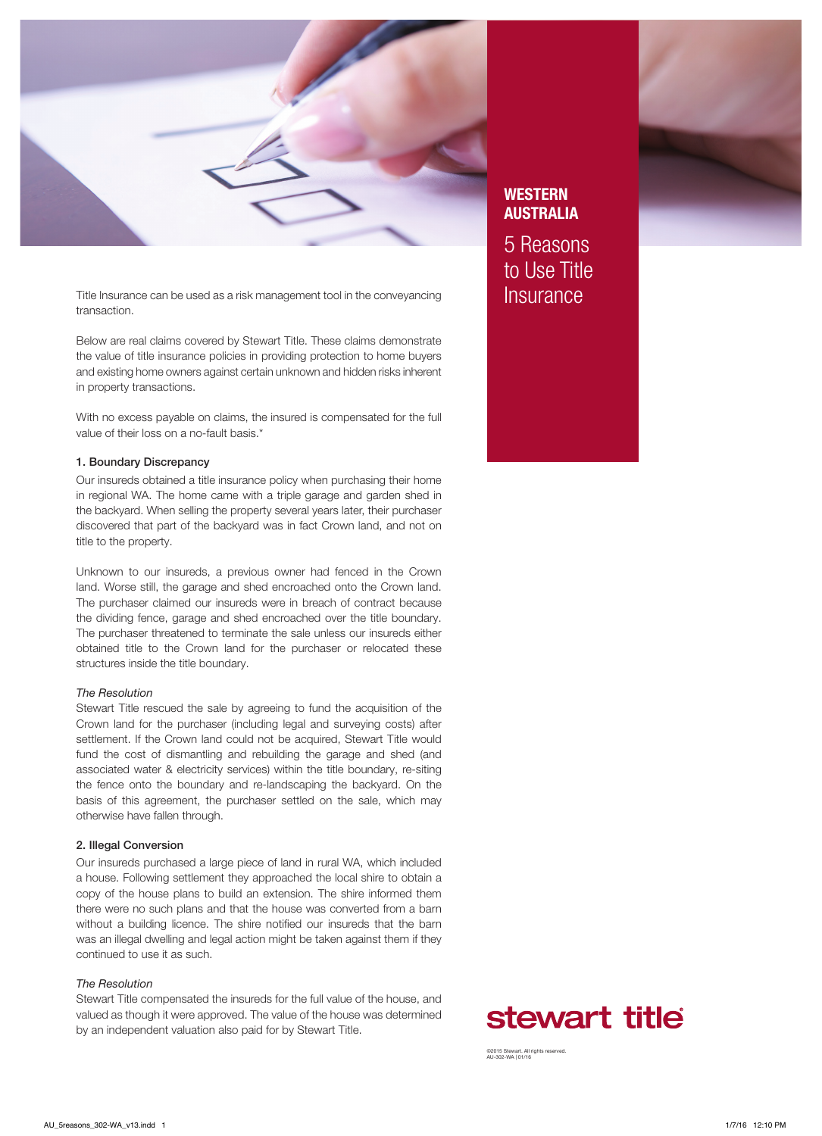

Title Insurance can be used as a risk management tool in the conveyancing **Insurance** transaction.

Below are real claims covered by Stewart Title. These claims demonstrate the value of title insurance policies in providing protection to home buyers and existing home owners against certain unknown and hidden risks inherent in property transactions.

With no excess payable on claims, the insured is compensated for the full value of their loss on a no-fault basis.\*

# 1. Boundary Discrepancy

Our insureds obtained a title insurance policy when purchasing their home in regional WA. The home came with a triple garage and garden shed in the backyard. When selling the property several years later, their purchaser discovered that part of the backyard was in fact Crown land, and not on title to the property.

Unknown to our insureds, a previous owner had fenced in the Crown land. Worse still, the garage and shed encroached onto the Crown land. The purchaser claimed our insureds were in breach of contract because the dividing fence, garage and shed encroached over the title boundary. The purchaser threatened to terminate the sale unless our insureds either obtained title to the Crown land for the purchaser or relocated these structures inside the title boundary.

# *The Resolution*

Stewart Title rescued the sale by agreeing to fund the acquisition of the Crown land for the purchaser (including legal and surveying costs) after settlement. If the Crown land could not be acquired, Stewart Title would fund the cost of dismantling and rebuilding the garage and shed (and associated water & electricity services) within the title boundary, re-siting the fence onto the boundary and re-landscaping the backyard. On the basis of this agreement, the purchaser settled on the sale, which may otherwise have fallen through.

# 2. Illegal Conversion

Our insureds purchased a large piece of land in rural WA, which included a house. Following settlement they approached the local shire to obtain a copy of the house plans to build an extension. The shire informed them there were no such plans and that the house was converted from a barn without a building licence. The shire notified our insureds that the barn was an illegal dwelling and legal action might be taken against them if they continued to use it as such.

# *The Resolution*

Stewart Title compensated the insureds for the full value of the house, and valued as though it were approved. The value of the house was determined by an independent valuation also paid for by Stewart Title.

# **WESTERN** AUSTRALIA

5 Reasons to Use Title



©2015 Stewart. All rights reserved. AU-302-WA | 01/16